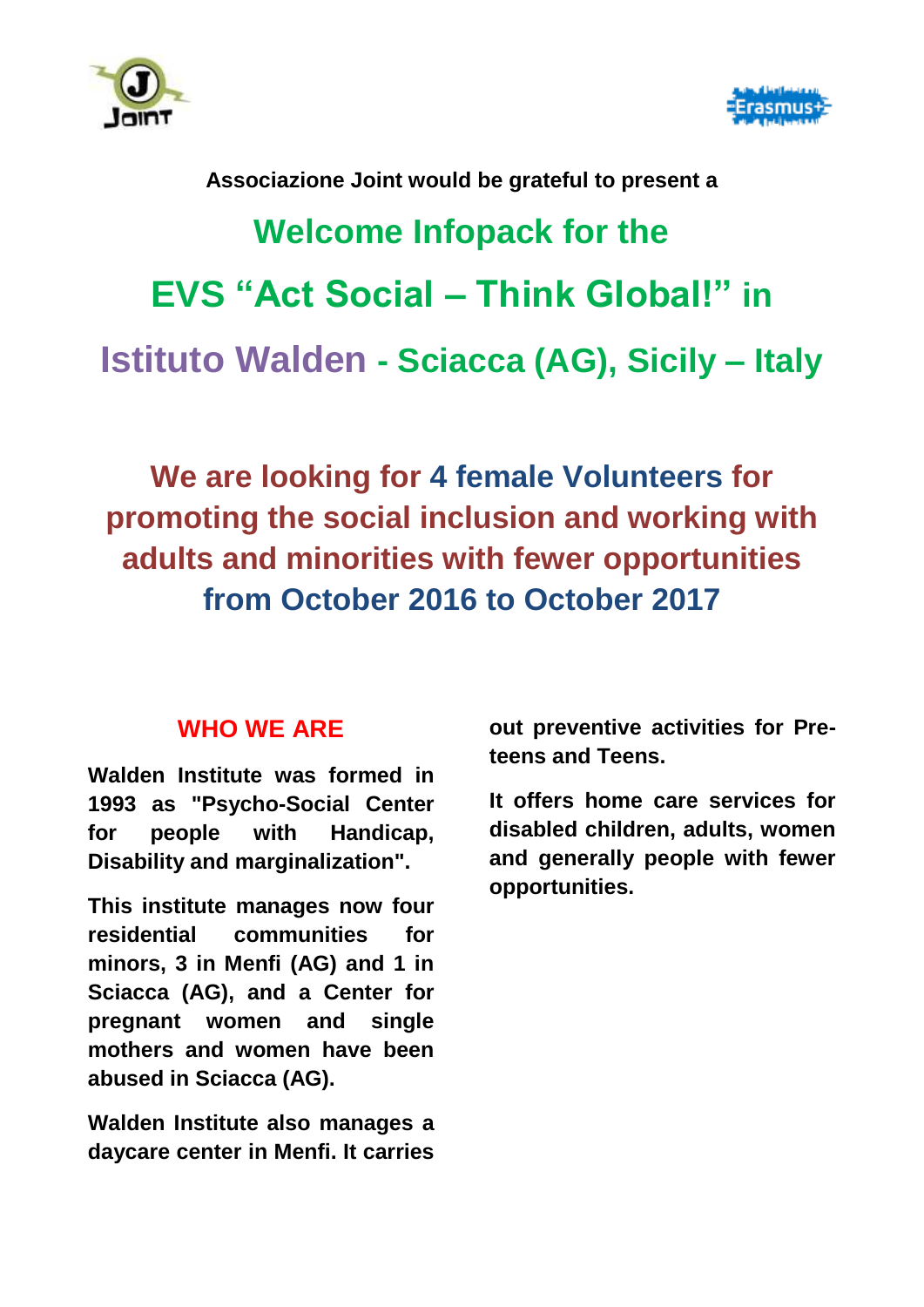



# **Associazione Joint would be grateful to present a Welcome Infopack for the EVS "Act Social – Think Global!" in Istituto Walden - Sciacca (AG), Sicily – Italy**

**We are looking for 4 female Volunteers for promoting the social inclusion and working with adults and minorities with fewer opportunities from October 2016 to October 2017**

### **WHO WE ARE**

**Walden Institute was formed in 1993 as "Psycho-Social Center for people with Handicap, Disability and marginalization".**

**This institute manages now four residential communities for minors, 3 in Menfi (AG) and 1 in Sciacca (AG), and a Center for pregnant women and single mothers and women have been abused in Sciacca (AG).**

**Walden Institute also manages a daycare center in Menfi. It carries** 

**out preventive activities for Preteens and Teens.**

**It offers home care services for disabled children, adults, women and generally people with fewer opportunities.**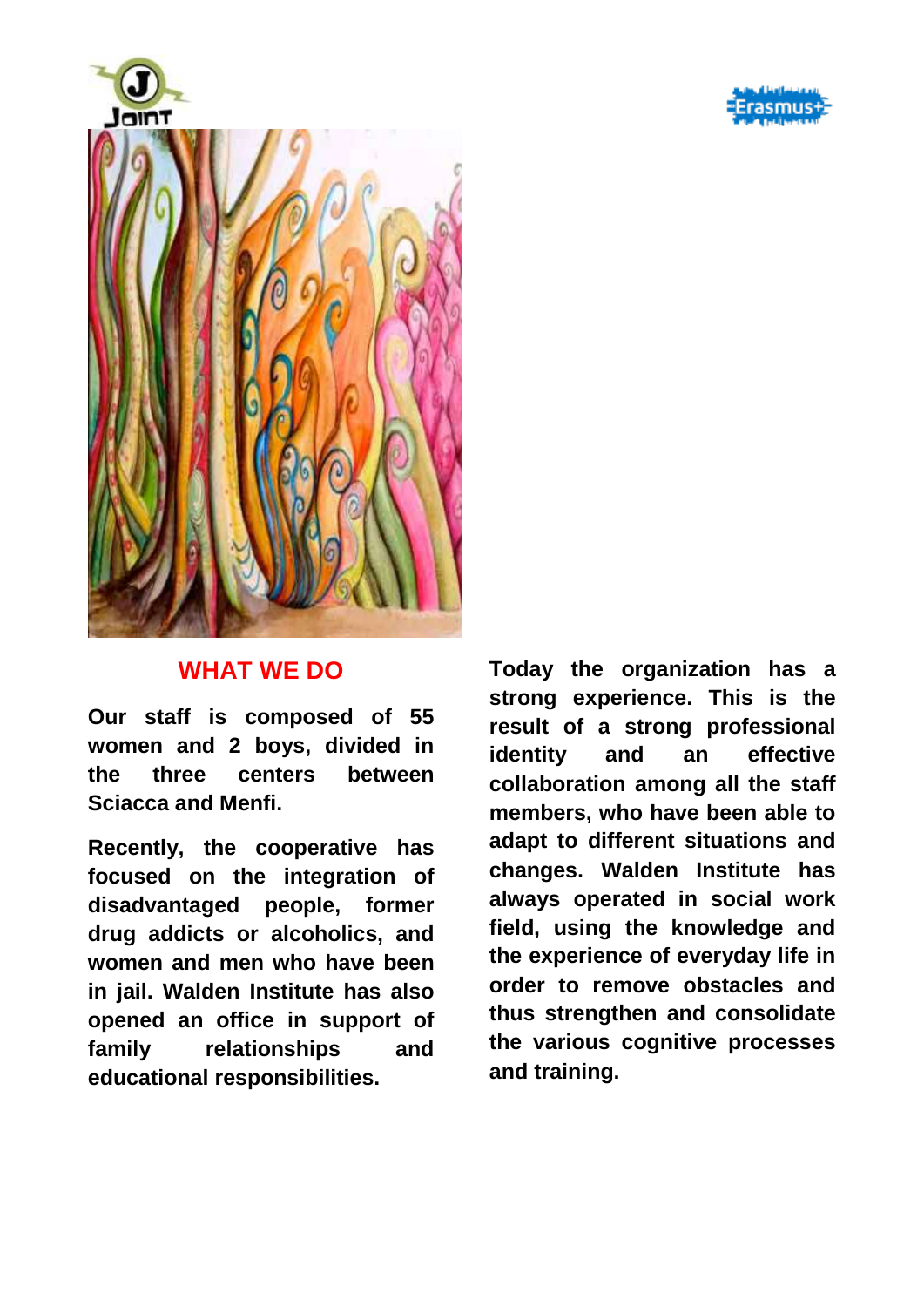



#### **WHAT WE DO**

**Our staff is composed of 55 women and 2 boys, divided in the three centers between Sciacca and Menfi.**

**Recently, the cooperative has focused on the integration of disadvantaged people, former drug addicts or alcoholics, and women and men who have been in jail. Walden Institute has also opened an office in support of family relationships and educational responsibilities.**

**Today the organization has a strong experience. This is the result of a strong professional identity and an effective collaboration among all the staff members, who have been able to adapt to different situations and changes. Walden Institute has always operated in social work field, using the knowledge and the experience of everyday life in order to remove obstacles and thus strengthen and consolidate the various cognitive processes and training.**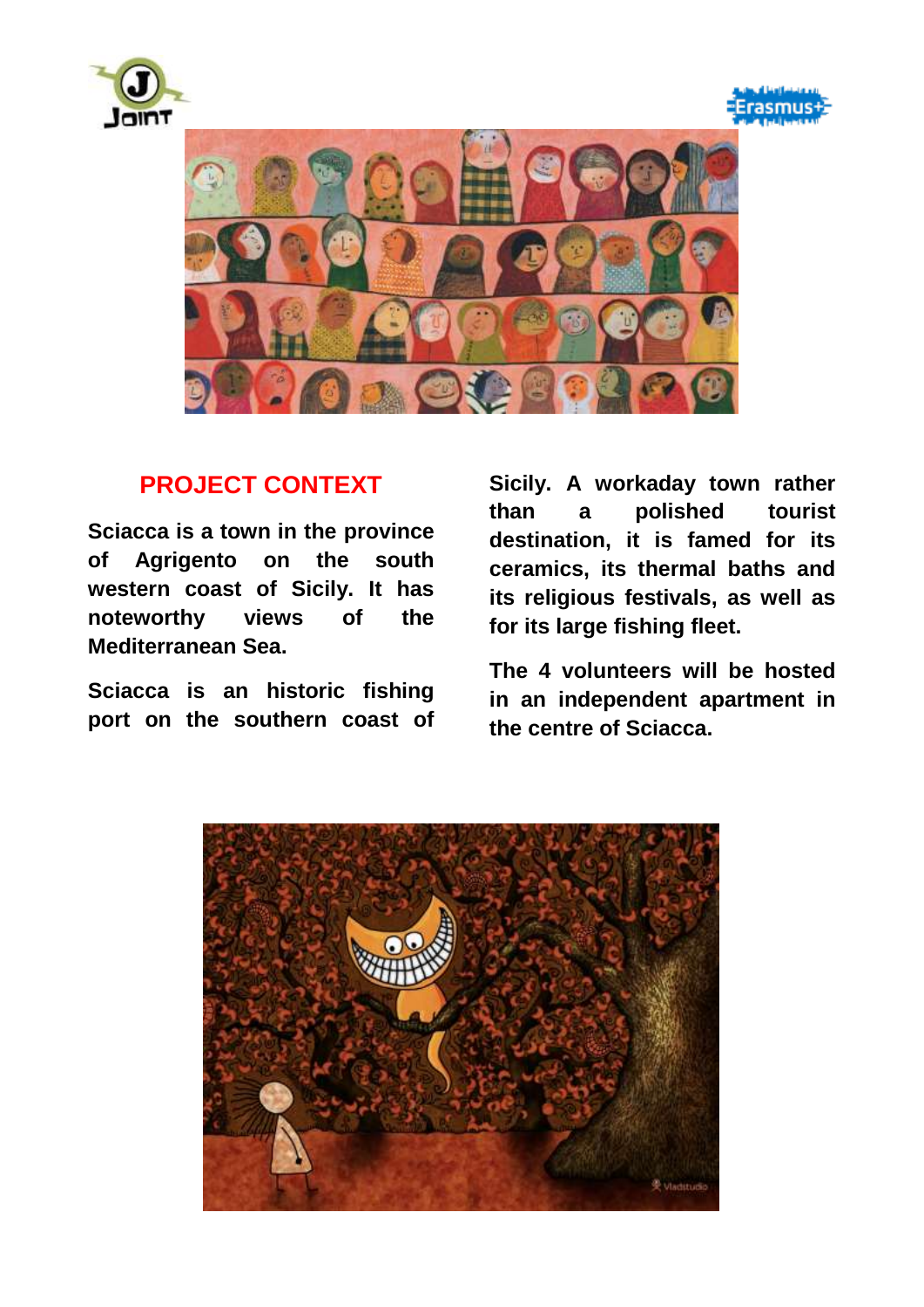





#### **PROJECT CONTEXT**

**Sciacca is a town in the [province](https://en.wikipedia.org/wiki/Province_of_Agrigento)  [of Agrigento](https://en.wikipedia.org/wiki/Province_of_Agrigento) on the south western coast of [Sicily.](https://en.wikipedia.org/wiki/Sicily) It has noteworthy views of the [Mediterranean Sea.](https://en.wikipedia.org/wiki/Mediterranean_Sea)**

**Sciacca is an historic fishing port on the southern coast of** 

**Sicily. A workaday town rather than a polished tourist destination, it is famed for its ceramics, its thermal baths and its religious festivals, as well as for its large fishing fleet.**

**The 4 volunteers will be hosted in an independent apartment in the centre of Sciacca.** 

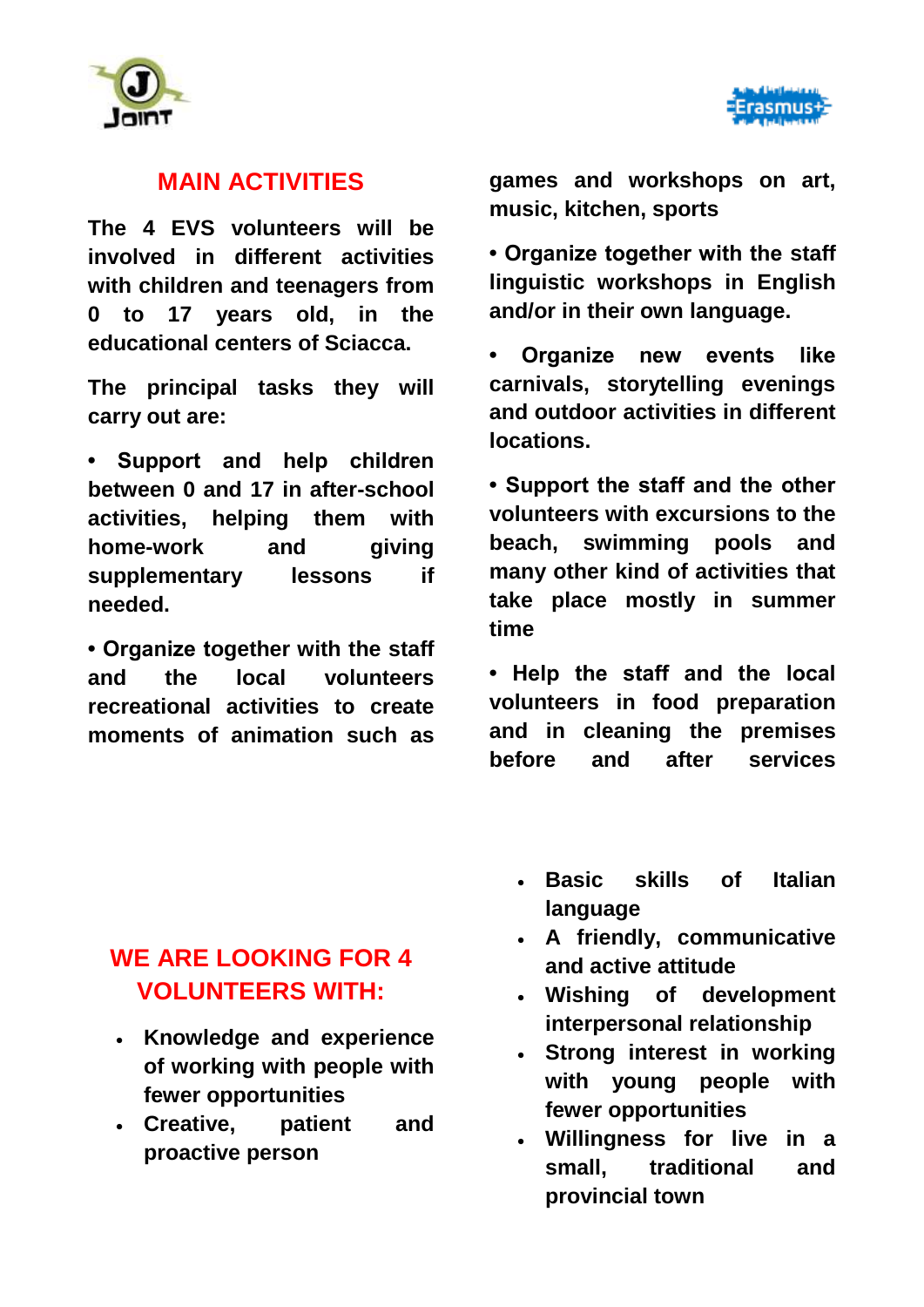



#### **MAIN ACTIVITIES**

**The 4 EVS volunteers will be involved in different activities with children and teenagers from 0 to 17 years old, in the educational centers of Sciacca.**

**The principal tasks they will carry out are:**

**• Support and help children between 0 and 17 in after-school activities, helping them with home-work and giving supplementary lessons if needed.**

**• Organize together with the staff and the local volunteers recreational activities to create moments of animation such as** 

**games and workshops on art, music, kitchen, sports**

**• Organize together with the staff linguistic workshops in English and/or in their own language.**

**• Organize new events like carnivals, storytelling evenings and outdoor activities in different locations.**

**• Support the staff and the other volunteers with excursions to the beach, swimming pools and many other kind of activities that take place mostly in summer time**

**• Help the staff and the local volunteers in food preparation and in cleaning the premises before and after services**

# **WE ARE LOOKING FOR 4 VOLUNTEERS WITH:**

- **Knowledge and experience of working with people with fewer opportunities**
- **Creative, patient and proactive person**
- **Basic skills of Italian language**
- **A friendly, communicative and active attitude**
- **Wishing of development interpersonal relationship**
- **Strong interest in working with young people with fewer opportunities**
- **Willingness for live in a small, traditional and provincial town**